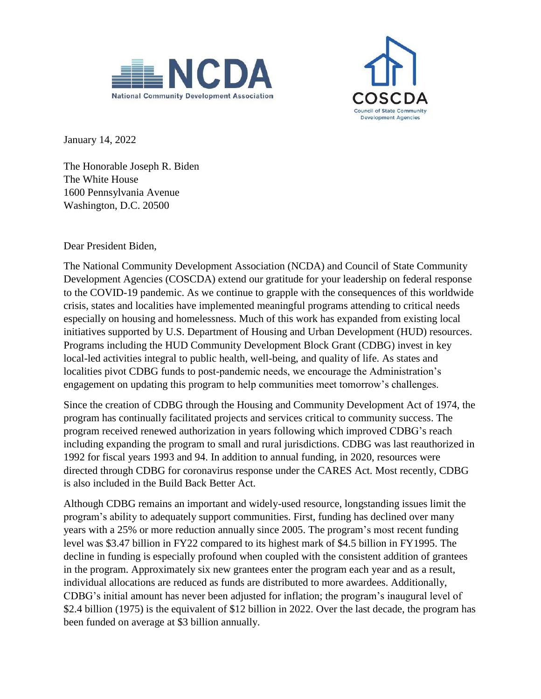



January 14, 2022

The Honorable Joseph R. Biden The White House 1600 Pennsylvania Avenue Washington, D.C. 20500

Dear President Biden,

The National Community Development Association (NCDA) and Council of State Community Development Agencies (COSCDA) extend our gratitude for your leadership on federal response to the COVID-19 pandemic. As we continue to grapple with the consequences of this worldwide crisis, states and localities have implemented meaningful programs attending to critical needs especially on housing and homelessness. Much of this work has expanded from existing local initiatives supported by U.S. Department of Housing and Urban Development (HUD) resources. Programs including the HUD Community Development Block Grant (CDBG) invest in key local-led activities integral to public health, well-being, and quality of life. As states and localities pivot CDBG funds to post-pandemic needs, we encourage the Administration's engagement on updating this program to help communities meet tomorrow's challenges.

Since the creation of CDBG through the Housing and Community Development Act of 1974, the program has continually facilitated projects and services critical to community success. The program received renewed authorization in years following which improved CDBG's reach including expanding the program to small and rural jurisdictions. CDBG was last reauthorized in 1992 for fiscal years 1993 and 94. In addition to annual funding, in 2020, resources were directed through CDBG for coronavirus response under the CARES Act. Most recently, CDBG is also included in the Build Back Better Act.

Although CDBG remains an important and widely-used resource, longstanding issues limit the program's ability to adequately support communities. First, funding has declined over many years with a 25% or more reduction annually since 2005. The program's most recent funding level was \$3.47 billion in FY22 compared to its highest mark of \$4.5 billion in FY1995. The decline in funding is especially profound when coupled with the consistent addition of grantees in the program. Approximately six new grantees enter the program each year and as a result, individual allocations are reduced as funds are distributed to more awardees. Additionally, CDBG's initial amount has never been adjusted for inflation; the program's inaugural level of \$2.4 billion (1975) is the equivalent of \$12 billion in 2022. Over the last decade, the program has been funded on average at \$3 billion annually.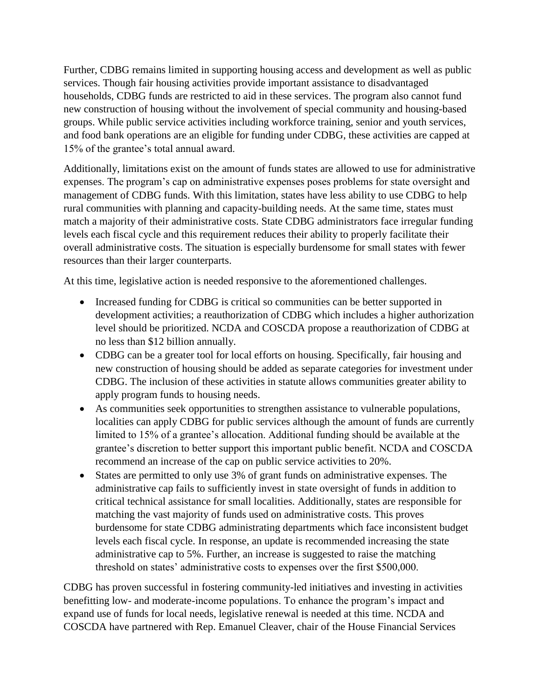Further, CDBG remains limited in supporting housing access and development as well as public services. Though fair housing activities provide important assistance to disadvantaged households, CDBG funds are restricted to aid in these services. The program also cannot fund new construction of housing without the involvement of special community and housing-based groups. While public service activities including workforce training, senior and youth services, and food bank operations are an eligible for funding under CDBG, these activities are capped at 15% of the grantee's total annual award.

Additionally, limitations exist on the amount of funds states are allowed to use for administrative expenses. The program's cap on administrative expenses poses problems for state oversight and management of CDBG funds. With this limitation, states have less ability to use CDBG to help rural communities with planning and capacity-building needs. At the same time, states must match a majority of their administrative costs. State CDBG administrators face irregular funding levels each fiscal cycle and this requirement reduces their ability to properly facilitate their overall administrative costs. The situation is especially burdensome for small states with fewer resources than their larger counterparts.

At this time, legislative action is needed responsive to the aforementioned challenges.

- Increased funding for CDBG is critical so communities can be better supported in development activities; a reauthorization of CDBG which includes a higher authorization level should be prioritized. NCDA and COSCDA propose a reauthorization of CDBG at no less than \$12 billion annually.
- CDBG can be a greater tool for local efforts on housing. Specifically, fair housing and new construction of housing should be added as separate categories for investment under CDBG. The inclusion of these activities in statute allows communities greater ability to apply program funds to housing needs.
- As communities seek opportunities to strengthen assistance to vulnerable populations, localities can apply CDBG for public services although the amount of funds are currently limited to 15% of a grantee's allocation. Additional funding should be available at the grantee's discretion to better support this important public benefit. NCDA and COSCDA recommend an increase of the cap on public service activities to 20%.
- States are permitted to only use 3% of grant funds on administrative expenses. The administrative cap fails to sufficiently invest in state oversight of funds in addition to critical technical assistance for small localities. Additionally, states are responsible for matching the vast majority of funds used on administrative costs. This proves burdensome for state CDBG administrating departments which face inconsistent budget levels each fiscal cycle. In response, an update is recommended increasing the state administrative cap to 5%. Further, an increase is suggested to raise the matching threshold on states' administrative costs to expenses over the first \$500,000.

CDBG has proven successful in fostering community-led initiatives and investing in activities benefitting low- and moderate-income populations. To enhance the program's impact and expand use of funds for local needs, legislative renewal is needed at this time. NCDA and COSCDA have partnered with Rep. Emanuel Cleaver, chair of the House Financial Services